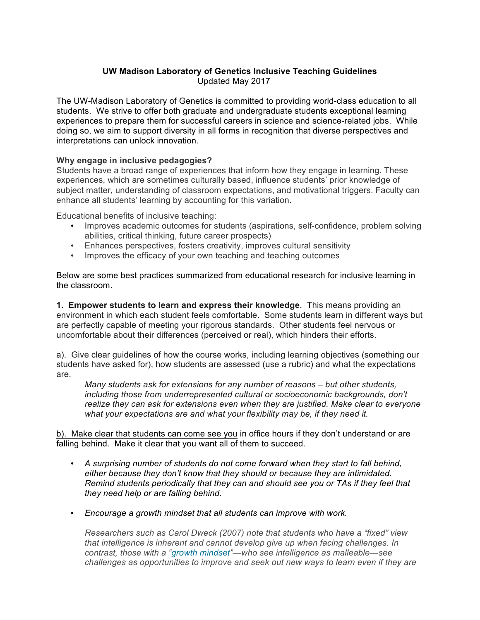## **UW Madison Laboratory of Genetics Inclusive Teaching Guidelines** Updated May 2017

The UW-Madison Laboratory of Genetics is committed to providing world-class education to all students. We strive to offer both graduate and undergraduate students exceptional learning experiences to prepare them for successful careers in science and science-related jobs. While doing so, we aim to support diversity in all forms in recognition that diverse perspectives and interpretations can unlock innovation.

## **Why engage in inclusive pedagogies?**

Students have a broad range of experiences that inform how they engage in learning. These experiences, which are sometimes culturally based, influence students' prior knowledge of subject matter, understanding of classroom expectations, and motivational triggers. Faculty can enhance all students' learning by accounting for this variation.

Educational benefits of inclusive teaching:

- Improves academic outcomes for students (aspirations, self-confidence, problem solving abilities, critical thinking, future career prospects)
- Enhances perspectives, fosters creativity, improves cultural sensitivity
- Improves the efficacy of your own teaching and teaching outcomes

Below are some best practices summarized from educational research for inclusive learning in the classroom.

**1. Empower students to learn and express their knowledge**. This means providing an environment in which each student feels comfortable. Some students learn in different ways but are perfectly capable of meeting your rigorous standards. Other students feel nervous or uncomfortable about their differences (perceived or real), which hinders their efforts.

a). Give clear guidelines of how the course works, including learning objectives (something our students have asked for), how students are assessed (use a rubric) and what the expectations are.

*Many students ask for extensions for any number of reasons – but other students, including those from underrepresented cultural or socioeconomic backgrounds, don't realize they can ask for extensions even when they are justified. Make clear to everyone what your expectations are and what your flexibility may be, if they need it.*

b). Make clear that students can come see you in office hours if they don't understand or are falling behind. Make it clear that you want all of them to succeed.

- *A surprising number of students do not come forward when they start to fall behind, either because they don't know that they should or because they are intimidated. Remind students periodically that they can and should see you or TAs if they feel that they need help or are falling behind.*
- *Encourage a growth mindset that all students can improve with work.*

*Researchers such as Carol Dweck (2007) note that students who have a "fixed" view that intelligence is inherent and cannot develop give up when facing challenges. In contrast, those with a "growth mindset"—who see intelligence as malleable—see challenges as opportunities to improve and seek out new ways to learn even if they are*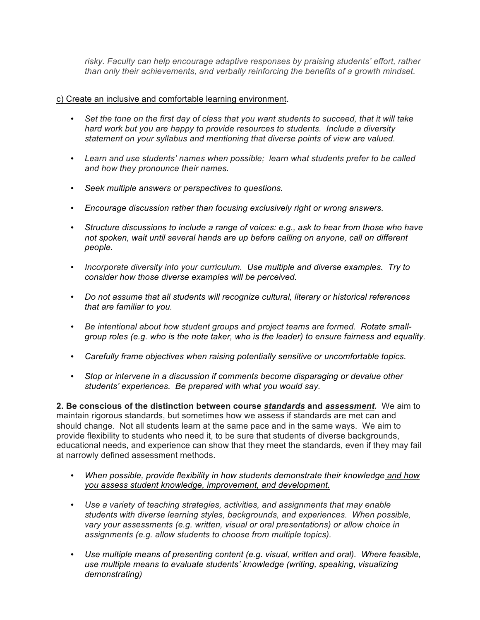*risky. Faculty can help encourage adaptive responses by praising students' effort, rather than only their achievements, and verbally reinforcing the benefits of a growth mindset.*

## c) Create an inclusive and comfortable learning environment.

- *Set the tone on the first day of class that you want students to succeed, that it will take hard work but you are happy to provide resources to students. Include a diversity statement on your syllabus and mentioning that diverse points of view are valued.*
- *Learn and use students' names when possible; learn what students prefer to be called and how they pronounce their names.*
- *Seek multiple answers or perspectives to questions.*
- *Encourage discussion rather than focusing exclusively right or wrong answers.*
- *Structure discussions to include a range of voices: e.g., ask to hear from those who have not spoken, wait until several hands are up before calling on anyone, call on different people.*
- *Incorporate diversity into your curriculum. Use multiple and diverse examples. Try to consider how those diverse examples will be perceived.*
- *Do not assume that all students will recognize cultural, literary or historical references that are familiar to you.*
- *Be intentional about how student groups and project teams are formed. Rotate smallgroup roles (e.g. who is the note taker, who is the leader) to ensure fairness and equality.*
- *Carefully frame objectives when raising potentially sensitive or uncomfortable topics.*
- *Stop or intervene in a discussion if comments become disparaging or devalue other students' experiences. Be prepared with what you would say.*

**2. Be conscious of the distinction between course** *standards* **and** *assessment.* We aim to maintain rigorous standards, but sometimes how we assess if standards are met can and should change. Not all students learn at the same pace and in the same ways. We aim to provide flexibility to students who need it, to be sure that students of diverse backgrounds, educational needs, and experience can show that they meet the standards, even if they may fail at narrowly defined assessment methods.

- *When possible, provide flexibility in how students demonstrate their knowledge and how you assess student knowledge, improvement, and development.*
- *Use a variety of teaching strategies, activities, and assignments that may enable students with diverse learning styles, backgrounds, and experiences. When possible, vary your assessments (e.g. written, visual or oral presentations) or allow choice in assignments (e.g. allow students to choose from multiple topics).*
- *Use multiple means of presenting content (e.g. visual, written and oral). Where feasible, use multiple means to evaluate students' knowledge (writing, speaking, visualizing demonstrating)*